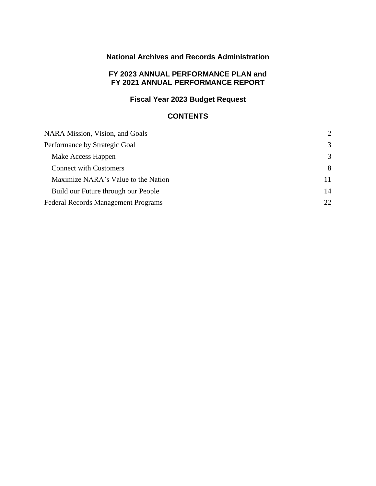# **National Archives and Records Administration**

### **FY 2023 ANNUAL PERFORMANCE PLAN and FY 2021 ANNUAL PERFORMANCE REPORT**

# **Fiscal Year 2023 Budget Request**

# **CONTENTS**

| NARA Mission, Vision, and Goals            | $\mathcal{D}_{\mathcal{L}}$ |
|--------------------------------------------|-----------------------------|
| Performance by Strategic Goal              | 3                           |
| Make Access Happen                         | 3                           |
| <b>Connect with Customers</b>              | 8                           |
| Maximize NARA's Value to the Nation        | 11                          |
| Build our Future through our People        | 14                          |
| <b>Federal Records Management Programs</b> | 22                          |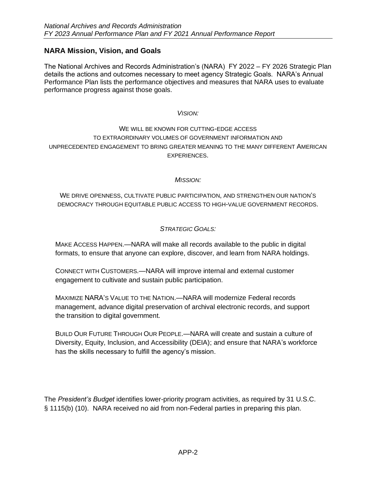# <span id="page-1-0"></span>**NARA Mission, Vision, and Goals**

The National Archives and Records Administration's (NARA) FY 2022 – FY 2026 Strategic Plan details the actions and outcomes necessary to meet agency Strategic Goals. NARA's Annual Performance Plan lists the performance objectives and measures that NARA uses to evaluate performance progress against those goals.

#### *VISION:*

# WE WILL BE KNOWN FOR CUTTING-EDGE ACCESS TO EXTRAORDINARY VOLUMES OF GOVERNMENT INFORMATION AND UNPRECEDENTED ENGAGEMENT TO BRING GREATER MEANING TO THE MANY DIFFERENT AMERICAN EXPERIENCES.

### *MISSION:*

WE DRIVE OPENNESS, CULTIVATE PUBLIC PARTICIPATION, AND STRENGTHEN OUR NATION'S DEMOCRACY THROUGH EQUITABLE PUBLIC ACCESS TO HIGH-VALUE GOVERNMENT RECORDS.

### *STRATEGIC GOALS:*

MAKE ACCESS HAPPEN.—NARA will make all records available to the public in digital formats, to ensure that anyone can explore, discover, and learn from NARA holdings.

CONNECT WITH CUSTOMERS.—NARA will improve internal and external customer engagement to cultivate and sustain public participation.

MAXIMIZE NARA'S VALUE TO THE NATION.—NARA will modernize Federal records management, advance digital preservation of archival electronic records, and support the transition to digital government.

BUILD OUR FUTURE THROUGH OUR PEOPLE.—NARA will create and sustain a culture of Diversity, Equity, Inclusion, and Accessibility (DEIA); and ensure that NARA's workforce has the skills necessary to fulfill the agency's mission.

The *President's Budget* identifies lower-priority program activities, as required by 31 U.S.C. § 1115(b) (10). NARA received no aid from non-Federal parties in preparing this plan.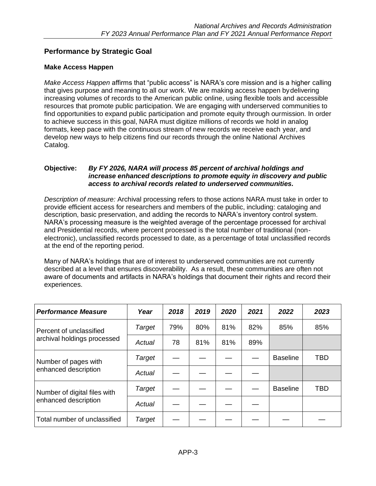# <span id="page-2-0"></span>**Performance by Strategic Goal**

### <span id="page-2-1"></span>**Make Access Happen**

*Make Access Happen* affirms that "public access" is NARA's core mission and is a higher calling that gives purpose and meaning to all our work. We are making access happen by delivering increasing volumes of records to the American public online, using flexible tools and accessible resources that promote public participation. We are engaging with underserved communities to find opportunities to expand public participation and promote equity through ourmission. In order to achieve success in this goal, NARA must digitize millions of records we hold in analog formats, keep pace with the continuous stream of new records we receive each year, and develop new ways to help citizens find our records through the online National Archives Catalog.

#### **Objective:** *By FY 2026, NARA will process 85 percent of archival holdings and increase enhanced descriptions to promote equity in discovery and public access to archival records related to underserved communities.*

*Description of measure:* Archival processing refers to those actions NARA must take in order to provide efficient access for researchers and members of the public, including: cataloging and description, basic preservation, and adding the records to NARA's inventory control system. NARA's processing measure is the weighted average of the percentage processed for archival and Presidential records, where percent processed is the total number of traditional (nonelectronic), unclassified records processed to date, as a percentage of total unclassified records at the end of the reporting period.

Many of NARA's holdings that are of interest to underserved communities are not currently described at a level that ensures discoverability. As a result, these communities are often not aware of documents and artifacts in NARA's holdings that document their rights and record their experiences.

| <b>Performance Measure</b>   | Year   | 2018 | 2019 | 2020 | 2021 | 2022            | 2023       |
|------------------------------|--------|------|------|------|------|-----------------|------------|
| Percent of unclassified      | Target | 79%  | 80%  | 81%  | 82%  | 85%             | 85%        |
| archival holdings processed  | Actual | 78   | 81%  | 81%  | 89%  |                 |            |
| Number of pages with         | Target |      |      |      |      | <b>Baseline</b> | <b>TBD</b> |
| enhanced description         | Actual |      |      |      |      |                 |            |
| Number of digital files with | Target |      |      |      |      | <b>Baseline</b> | <b>TBD</b> |
| enhanced description         | Actual |      |      |      |      |                 |            |
| Total number of unclassified | Target |      |      |      |      |                 |            |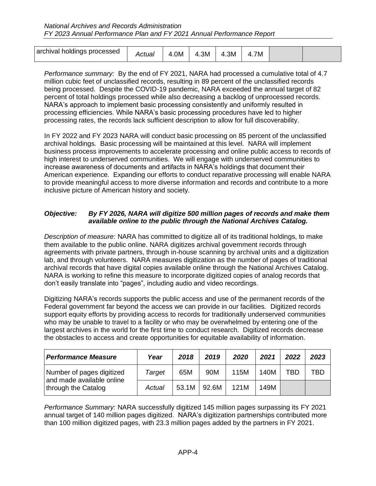| archival holdings processed | Actual<br>. . | .0M<br>≖ | .3M<br>д | .3M<br>Δ | 7M |  |
|-----------------------------|---------------|----------|----------|----------|----|--|

*Performance summary:* By the end of FY 2021, NARA had processed a cumulative total of 4.7 million cubic feet of unclassified records, resulting in 89 percent of the unclassified records being processed. Despite the COVID-19 pandemic, NARA exceeded the annual target of 82 percent of total holdings processed while also decreasing a backlog of unprocessed records. NARA's approach to implement basic processing consistently and uniformly resulted in processing efficiencies. While NARA's basic processing procedures have led to higher processing rates, the records lack sufficient description to allow for full discoverability.

In FY 2022 and FY 2023 NARA will conduct basic processing on 85 percent of the unclassified archival holdings. Basic processing will be maintained at this level. NARA will implement business process improvements to accelerate processing and online public access to records of high interest to underserved communities. We will engage with underserved communities to increase awareness of documents and artifacts in NARA's holdings that document their American experience. Expanding our efforts to conduct reparative processing will enable NARA to provide meaningful access to more diverse information and records and contribute to a more inclusive picture of American history and society.

### *Objective:* By FY 2026, NARA will digitize 500 million pages of records and make them *available online to the public through the National Archives Catalog.*

*Description of measure:* NARA has committed to digitize all of its traditional holdings, to make them available to the public online. NARA digitizes archival government records through agreements with private partners, through in-house scanning by archival units and a digitization lab, and through volunteers. NARA measures digitization as the number of pages of traditional archival records that have digital copies available online through the National Archives Catalog. NARA is working to refine this measure to incorporate digitized copies of analog records that don't easily translate into "pages", including audio and video recordings.

Digitizing NARA's records supports the public access and use of the permanent records of the Federal government far beyond the access we can provide in our facilities. Digitized records support equity efforts by providing access to records for traditionally underserved communities who may be unable to travel to a facility or who may be overwhelmed by entering one of the largest archives in the world for the first time to conduct research. Digitized records decrease the obstacles to access and create opportunities for equitable availability of information.

| <b>Performance Measure</b>                             | Year   | 2018  | 2019  | 2020 | 2021 | 2022 | 2023 |
|--------------------------------------------------------|--------|-------|-------|------|------|------|------|
| Number of pages digitized<br>and made available online | Target | 65M   | 90M   | 115M | 140M | TBD  | TBD  |
| through the Catalog                                    | Actual | 53.1M | 92.6M | 121M | 149M |      |      |

*Performance Summary:* NARA successfully digitized 145 million pages surpassing its FY 2021 annual target of 140 million pages digitized. NARA's digitization partnerships contributed more than 100 million digitized pages, with 23.3 million pages added by the partners in FY 2021.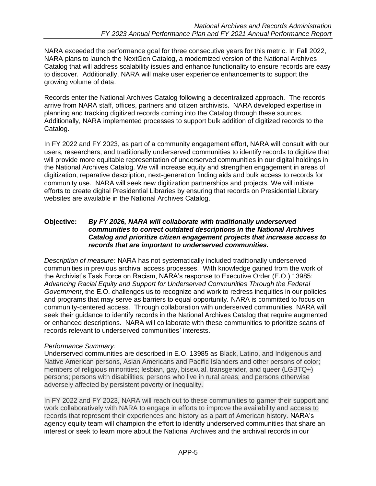NARA exceeded the performance goal for three consecutive years for this metric. In Fall 2022, NARA plans to launch the NextGen Catalog, a modernized version of the National Archives Catalog that will address scalability issues and enhance functionality to ensure records are easy to discover. Additionally, NARA will make user experience enhancements to support the growing volume of data.

Records enter the National Archives Catalog following a decentralized approach. The records arrive from NARA staff, offices, partners and citizen archivists. NARA developed expertise in planning and tracking digitized records coming into the Catalog through these sources. Additionally, NARA implemented processes to support bulk addition of digitized records to the Catalog.

In FY 2022 and FY 2023, as part of a community engagement effort, NARA will consult with our users, researchers, and traditionally underserved communities to identify records to digitize that will provide more equitable representation of underserved communities in our digital holdings in the National Archives Catalog. We will increase equity and strengthen engagement in areas of digitization, reparative description, next-generation finding aids and bulk access to records for community use. NARA will seek new digitization partnerships and projects. We will initiate efforts to create digital Presidential Libraries by ensuring that records on Presidential Library websites are available in the National Archives Catalog.

### **Objective:** *By FY 2026, NARA will collaborate with traditionally underserved communities to correct outdated descriptions in the National Archives Catalog and prioritize citizen engagement projects that increase access to records that are important to underserved communities.*

*Description of measure:* NARA has not systematically included traditionally underserved communities in previous archival access processes. With knowledge gained from the work of the Archivist's Task Force on Racism, NARA's response to Executive Order (E.O.) 13985: *Advancing Racial Equity and Support for Underserved Communities Through the Federal Government*, the E.O. challenges us to recognize and work to redress inequities in our policies and programs that may serve as barriers to equal opportunity. NARA is committed to focus on community-centered access. Through collaboration with underserved communities, NARA will seek their guidance to identify records in the National Archives Catalog that require augmented or enhanced descriptions. NARA will collaborate with these communities to prioritize scans of records relevant to underserved communities' interests.

# *Performance Summary:*

Underserved communities are described in E.O. 13985 as Black, Latino, and Indigenous and Native American persons, Asian Americans and Pacific Islanders and other persons of color; members of religious minorities; lesbian, gay, bisexual, transgender, and queer (LGBTQ+) persons; persons with disabilities; persons who live in rural areas; and persons otherwise adversely affected by persistent poverty or inequality.

In FY 2022 and FY 2023, NARA will reach out to these communities to garner their support and work collaboratively with NARA to engage in efforts to improve the availability and access to records that represent their experiences and history as a part of American history. NARA's agency equity team will champion the effort to identify underserved communities that share an interest or seek to learn more about the National Archives and the archival records in our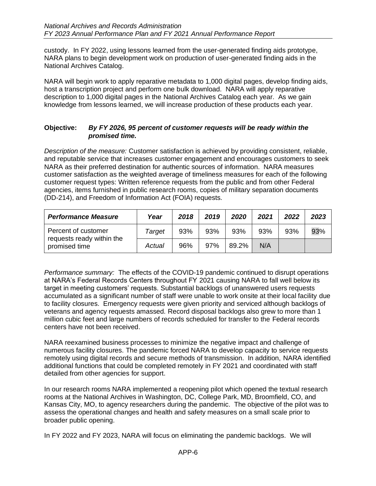custody. In FY 2022, using lessons learned from the user-generated finding aids prototype, NARA plans to begin development work on production of user-generated finding aids in the National Archives Catalog.

NARA will begin work to apply reparative metadata to 1,000 digital pages, develop finding aids, host a transcription project and perform one bulk download. NARA will apply reparative description to 1,000 digital pages in the National Archives Catalog each year. As we gain knowledge from lessons learned, we will increase production of these products each year.

### **Objective:** *By FY 2026, 95 percent of customer requests will be ready within the promised time.*

*Description of the measure:* Customer satisfaction is achieved by providing consistent, reliable, and reputable service that increases customer engagement and encourages customers to seek NARA as their preferred destination for authentic sources of information. NARA measures customer satisfaction as the weighted average of timeliness measures for each of the following customer request types: Written reference requests from the public and from other Federal agencies, items furnished in public research rooms, copies of military separation documents (DD-214), and Freedom of Information Act (FOIA) requests.

| <b>Performance Measure</b>                 | Year   | 2018 | 2019 | 2020  | 2021 | 2022 | 2023 |
|--------------------------------------------|--------|------|------|-------|------|------|------|
| Percent of customer                        | Target | 93%  | 93%  | 93%   | 93%  | 93%  | 93%  |
| requests ready within the<br>promised time | Actual | 96%  | 97%  | 89.2% | N/A  |      |      |

*Performance summary:* The effects of the COVID-19 pandemic continued to disrupt operations at NARA's Federal Records Centers throughout FY 2021 causing NARA to fall well below its target in meeting customers' requests. Substantial backlogs of unanswered users requests accumulated as a significant number of staff were unable to work onsite at their local facility due to facility closures. Emergency requests were given priority and serviced although backlogs of veterans and agency requests amassed. Record disposal backlogs also grew to more than 1 million cubic feet and large numbers of records scheduled for transfer to the Federal records centers have not been received.

NARA reexamined business processes to minimize the negative impact and challenge of numerous facility closures. The pandemic forced NARA to develop capacity to service requests remotely using digital records and secure methods of transmission. In addition, NARA identified additional functions that could be completed remotely in FY 2021 and coordinated with staff detailed from other agencies for support.

In our research rooms NARA implemented a reopening pilot which opened the textual research rooms at the National Archives in Washington, DC, College Park, MD, Broomfield, CO, and Kansas City, MO, to agency researchers during the pandemic. The objective of the pilot was to assess the operational changes and health and safety measures on a small scale prior to broader public opening.

In FY 2022 and FY 2023, NARA will focus on eliminating the pandemic backlogs. We will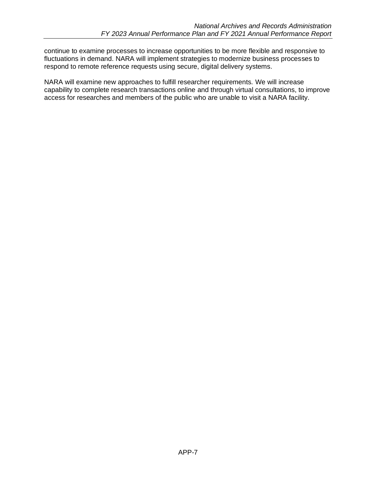continue to examine processes to increase opportunities to be more flexible and responsive to fluctuations in demand. NARA will implement strategies to modernize business processes to respond to remote reference requests using secure, digital delivery systems.

NARA will examine new approaches to fulfill researcher requirements. We will increase capability to complete research transactions online and through virtual consultations, to improve access for researches and members of the public who are unable to visit a NARA facility.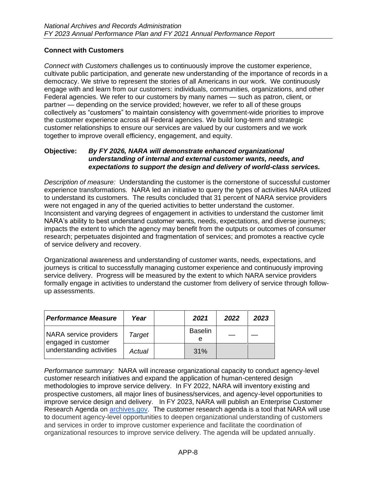### <span id="page-7-0"></span>**Connect with Customers**

*Connect with Customers* challenges us to continuously improve the customer experience, cultivate public participation, and generate new understanding of the importance of records in a democracy. We strive to represent the stories of all Americans in our work. We continuously engage with and learn from our customers: individuals, communities, organizations, and other Federal agencies. We refer to our customers by many names — such as patron, client, or partner — depending on the service provided; however, we refer to all of these groups collectively as "customers" to maintain consistency with government-wide priorities to improve the customer experience across all Federal agencies. We build long-term and strategic customer relationships to ensure our services are valued by our customers and we work together to improve overall efficiency, engagement, and equity.

#### **Objective:** *By FY 2026, NARA will demonstrate enhanced organizational understanding of internal and external customer wants, needs, and expectations to support the design and delivery of world-class services.*

*Description of measure:* Understanding the customer is the cornerstone of successful customer experience transformations. NARA led an initiative to query the types of activities NARA utilized to understand its customers. The results concluded that 31 percent of NARA service providers were not engaged in any of the queried activities to better understand the customer. Inconsistent and varying degrees of engagement in activities to understand the customer limit NARA's ability to best understand customer wants, needs, expectations, and diverse journeys; impacts the extent to which the agency may benefit from the outputs or outcomes of consumer research; perpetuates disjointed and fragmentation of services; and promotes a reactive cycle of service delivery and recovery.

Organizational awareness and understanding of customer wants, needs, expectations, and journeys is critical to successfully managing customer experience and continuously improving service delivery. Progress will be measured by the extent to which NARA service providers formally engage in activities to understand the customer from delivery of service through followup assessments.

| <b>Performance Measure</b>                    | Year   | 2021                | 2022 | 2023 |
|-----------------------------------------------|--------|---------------------|------|------|
| NARA service providers<br>engaged in customer | Target | <b>Baselin</b><br>е |      |      |
| I understanding activities                    | Actual | 31%                 |      |      |

*Performance summary:* NARA will increase organizational capacity to conduct agency-level customer research initiatives and expand the application of human-centered design methodologies to improve service delivery. In FY 2022, NARA will inventory existing and prospective customers, all major lines of business/services, and agency-level opportunities to improve service design and delivery. In FY 2023, NARA will publish an Enterprise Customer Research Agenda on **archives.gov.** The customer research agenda is a tool that NARA will use to document agency-level opportunities to deepen organizational understanding of customers and services in order to improve customer experience and facilitate the coordination of organizational resources to improve service delivery. The agenda will be updated annually.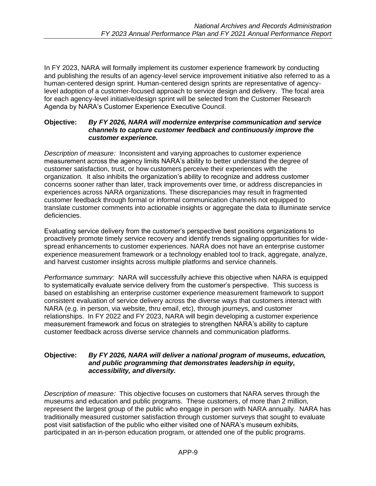In FY 2023, NARA will formally implement its customer experience framework by conducting and publishing the results of an agency-level service improvement initiative also referred to as a human-centered design sprint. Human-centered design sprints are representative of agencylevel adoption of a customer-focused approach to service design and delivery. The focal area for each agency-level initiative/design sprint will be selected from the Customer Research Agenda by NARA's Customer Experience Executive Council.

#### **Objective:** *By FY 2026, NARA will modernize enterprise communication and service channels to capture customer feedback and continuously improve the customer experience.*

*Description of measure:* Inconsistent and varying approaches to customer experience measurement across the agency limits NARA's ability to better understand the degree of customer satisfaction, trust, or how customers perceive their experiences with the organization. It also inhibits the organization's ability to recognize and address customer concerns sooner rather than later, track improvements over time, or address discrepancies in experiences across NARA organizations. These discrepancies may result in fragmented customer feedback through formal or informal communication channels not equipped to translate customer comments into actionable insights or aggregate the data to illuminate service deficiencies.

Evaluating service delivery from the customer's perspective best positions organizations to proactively promote timely service recovery and identify trends signaling opportunities for widespread enhancements to customer experiences. NARA does not have an enterprise customer experience measurement framework or a technology enabled tool to track, aggregate, analyze, and harvest customer insights across multiple platforms and service channels.

*Performance summary:* NARA will successfully achieve this objective when NARA is equipped to systematically evaluate service delivery from the customer's perspective. This success is based on establishing an enterprise customer experience measurement framework to support consistent evaluation of service delivery across the diverse ways that customers interact with NARA (e.g. in person, via website, thru email, etc), through journeys, and customer relationships. In FY 2022 and FY 2023, NARA will begin developing a customer experience measurement framework and focus on strategies to strengthen NARA's ability to capture customer feedback across diverse service channels and communication platforms.

#### **Objective:** *By FY 2026, NARA will deliver a national program of museums, education, and public programming that demonstrates leadership in equity, accessibility, and diversity.*

*Description of measure:* This objective focuses on customers that NARA serves through the museums and education and public programs. These customers, of more than 2 million, represent the largest group of the public who engage in person with NARA annually. NARA has traditionally measured customer satisfaction through customer surveys that sought to evaluate post visit satisfaction of the public who either visited one of NARA's museum exhibits, participated in an in-person education program, or attended one of the public programs.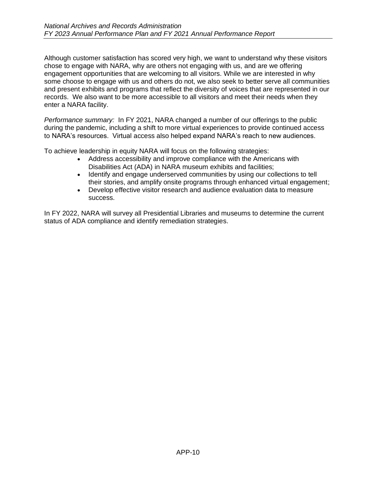Although customer satisfaction has scored very high, we want to understand why these visitors chose to engage with NARA, why are others not engaging with us, and are we offering engagement opportunities that are welcoming to all visitors. While we are interested in why some choose to engage with us and others do not, we also seek to better serve all communities and present exhibits and programs that reflect the diversity of voices that are represented in our records. We also want to be more accessible to all visitors and meet their needs when they enter a NARA facility.

*Performance summary:* In FY 2021, NARA changed a number of our offerings to the public during the pandemic, including a shift to more virtual experiences to provide continued access to NARA's resources. Virtual access also helped expand NARA's reach to new audiences.

To achieve leadership in equity NARA will focus on the following strategies:

- Address accessibility and improve compliance with the Americans with Disabilities Act (ADA) in NARA museum exhibits and facilities;
- Identify and engage underserved communities by using our collections to tell their stories, and amplify onsite programs through enhanced virtual engagement;
- Develop effective visitor research and audience evaluation data to measure success.

In FY 2022, NARA will survey all Presidential Libraries and museums to determine the current status of ADA compliance and identify remediation strategies.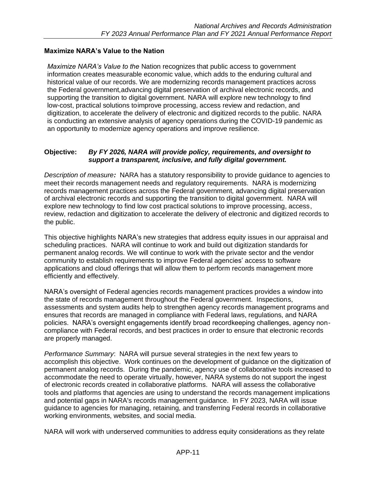# <span id="page-10-0"></span>**Maximize NARA's Value to the Nation**

*Maximize NARA's Value to the* Nation recognizes that public access to government information creates measurable economic value, which adds to the enduring cultural and historical value of our records. We are modernizing records management practices across the Federal government,advancing digital preservation of archival electronic records, and supporting the transition to digital government. NARA will explore new technology to find low-cost, practical solutions toimprove processing, access review and redaction, and digitization, to accelerate the delivery of electronic and digitized records to the public. NARA is conducting an extensive analysis of agency operations during the COVID-19 pandemic as an opportunity to modernize agency operations and improve resilience.

### **Objective:** *By FY 2026, NARA will provide policy, requirements, and oversight to support a transparent, inclusive, and fully digital government.*

*Description of measure:* NARA has a statutory responsibility to provide guidance to agencies to meet their records management needs and regulatory requirements. NARA is modernizing records management practices across the Federal government, advancing digital preservation of archival electronic records and supporting the transition to digital government. NARA will explore new technology to find low cost practical solutions to improve processing, access, review, redaction and digitization to accelerate the delivery of electronic and digitized records to the public.

This objective highlights NARA's new strategies that address equity issues in our appraisal and scheduling practices. NARA will continue to work and build out digitization standards for permanent analog records. We will continue to work with the private sector and the vendor community to establish requirements to improve Federal agencies' access to software applications and cloud offerings that will allow them to perform records management more efficiently and effectively.

NARA's oversight of Federal agencies records management practices provides a window into the state of records management throughout the Federal government. Inspections, assessments and system audits help to strengthen agency records management programs and ensures that records are managed in compliance with Federal laws, regulations, and NARA policies. NARA's oversight engagements identify broad recordkeeping challenges, agency noncompliance with Federal records, and best practices in order to ensure that electronic records are properly managed.

*Performance Summary*: NARA will pursue several strategies in the next few years to accomplish this objective. Work continues on the development of guidance on the digitization of permanent analog records. During the pandemic, agency use of collaborative tools increased to accommodate the need to operate virtually, however, NARA systems do not support the ingest of electronic records created in collaborative platforms. NARA will assess the collaborative tools and platforms that agencies are using to understand the records management implications and potential gaps in NARA's records management guidance. In FY 2023, NARA will issue guidance to agencies for managing, retaining, and transferring Federal records in collaborative working environments, websites, and social media.

NARA will work with underserved communities to address equity considerations as they relate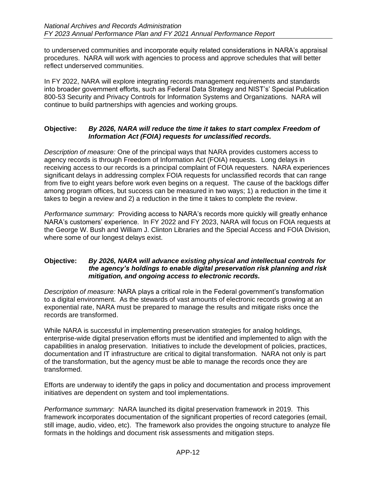to underserved communities and incorporate equity related considerations in NARA's appraisal procedures. NARA will work with agencies to process and approve schedules that will better reflect underserved communities.

In FY 2022, NARA will explore integrating records management requirements and standards into broader government efforts, such as Federal Data Strategy and NIST's' Special Publication 800-53 Security and Privacy Controls for Information Systems and Organizations. NARA will continue to build partnerships with agencies and working groups.

### **Objective:** *By 2026, NARA will reduce the time it takes to start complex Freedom of Information Act (FOIA) requests for unclassified records.*

*Description of measure:* One of the principal ways that NARA provides customers access to agency records is through Freedom of Information Act (FOIA) requests. Long delays in receiving access to our records is a principal complaint of FOIA requesters. NARA experiences significant delays in addressing complex FOIA requests for unclassified records that can range from five to eight years before work even begins on a request. The cause of the backlogs differ among program offices, but success can be measured in two ways; 1) a reduction in the time it takes to begin a review and 2) a reduction in the time it takes to complete the review.

*Performance summary:* Providing access to NARA's records more quickly will greatly enhance NARA's customers' experience. In FY 2022 and FY 2023, NARA will focus on FOIA requests at the George W. Bush and William J. Clinton Libraries and the Special Access and FOIA Division, where some of our longest delays exist.

#### **Objective:** *By 2026, NARA will advance existing physical and intellectual controls for the agency's holdings to enable digital preservation risk planning and risk mitigation, and ongoing access to electronic records.*

*Description of measure:* NARA plays a critical role in the Federal government's transformation to a digital environment. As the stewards of vast amounts of electronic records growing at an exponential rate, NARA must be prepared to manage the results and mitigate risks once the records are transformed.

While NARA is successful in implementing preservation strategies for analog holdings, enterprise-wide digital preservation efforts must be identified and implemented to align with the capabilities in analog preservation. Initiatives to include the development of policies, practices, documentation and IT infrastructure are critical to digital transformation. NARA not only is part of the transformation, but the agency must be able to manage the records once they are transformed.

Efforts are underway to identify the gaps in policy and documentation and process improvement initiatives are dependent on system and tool implementations.

*Performance summary:* NARA launched its digital preservation framework in 2019. This framework incorporates documentation of the significant properties of record categories (email, still image, audio, video, etc). The framework also provides the ongoing structure to analyze file formats in the holdings and document risk assessments and mitigation steps.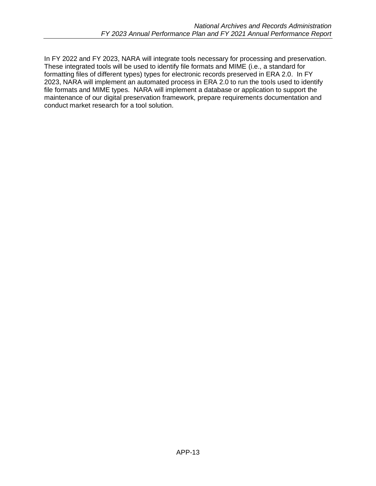In FY 2022 and FY 2023, NARA will integrate tools necessary for processing and preservation. These integrated tools will be used to identify file formats and MIME (i.e., a standard for formatting files of different types) types for electronic records preserved in ERA 2.0. In FY 2023, NARA will implement an automated process in ERA 2.0 to run the tools used to identify file formats and MIME types. NARA will implement a database or application to support the maintenance of our digital preservation framework, prepare requirements documentation and conduct market research for a tool solution.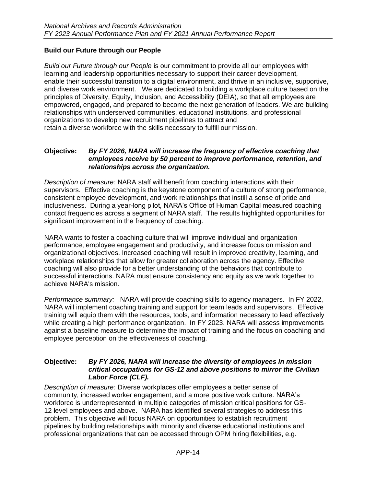# <span id="page-13-0"></span>**Build our Future through our People**

*Build our Future through our People* is our commitment to provide all our employees with learning and leadership opportunities necessary to support their career development, enable their successful transition to a digital environment, and thrive in an inclusive, supportive, and diverse work environment. We are dedicated to building a workplace culture based on the principles of Diversity, Equity, Inclusion, and Accessibility (DEIA), so that all employees are empowered, engaged, and prepared to become the next generation of leaders. We are building relationships with underserved communities, educational institutions, and professional organizations to develop new recruitment pipelines to attract and retain a diverse workforce with the skills necessary to fulfill our mission.

### **Objective:** *By FY 2026, NARA will increase the frequency of effective coaching that employees receive by 50 percent to improve performance, retention, and relationships across the organization.*

*Description of measure:* NARA staff will benefit from coaching interactions with their supervisors. Effective coaching is the keystone component of a culture of strong performance, consistent employee development, and work relationships that instill a sense of pride and inclusiveness. During a year-long pilot, NARA's Office of Human Capital measured coaching contact frequencies across a segment of NARA staff. The results highlighted opportunities for significant improvement in the frequency of coaching.

NARA wants to foster a coaching culture that will improve individual and organization performance, employee engagement and productivity, and increase focus on mission and organizational objectives. Increased coaching will result in improved creativity, learning, and workplace relationships that allow for greater collaboration across the agency. Effective coaching will also provide for a better understanding of the behaviors that contribute to successful interactions. NARA must ensure consistency and equity as we work together to achieve NARA's mission.

*Performance summary:* NARA will provide coaching skills to agency managers. In FY 2022, NARA will implement coaching training and support for team leads and supervisors. Effective training will equip them with the resources, tools, and information necessary to lead effectively while creating a high performance organization. In FY 2023. NARA will assess improvements against a baseline measure to determine the impact of training and the focus on coaching and employee perception on the effectiveness of coaching.

### **Objective:** *By FY 2026, NARA will increase the diversity of employees in mission critical occupations for GS-12 and above positions to mirror the Civilian Labor Force (CLF).*

*Description of measure:* Diverse workplaces offer employees a better sense of community, increased worker engagement, and a more positive work culture. NARA's workforce is underrepresented in multiple categories of mission critical positions for GS-12 level employees and above. NARA has identified several strategies to address this problem. This objective will focus NARA on opportunities to establish recruitment pipelines by building relationships with minority and diverse educational institutions and professional organizations that can be accessed through OPM hiring flexibilities, e.g.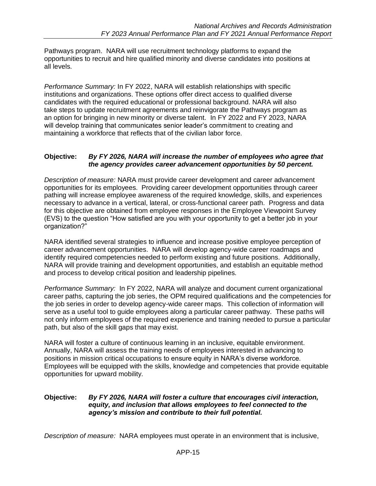Pathways program. NARA will use recruitment technology platforms to expand the opportunities to recruit and hire qualified minority and diverse candidates into positions at all levels.

*Performance Summary:* In FY 2022, NARA will establish relationships with specific institutions and organizations. These options offer direct access to qualified diverse candidates with the required educational or professional background. NARA will also take steps to update recruitment agreements and reinvigorate the Pathways program as an option for bringing in new minority or diverse talent. In FY 2022 and FY 2023, NARA will develop training that communicates senior leader's commitment to creating and maintaining a workforce that reflects that of the civilian labor force.

### **Objective:** *By FY 2026, NARA will increase the number of employees who agree that the agency provides career advancement opportunities by 50 percent.*

*Description of measure:* NARA must provide career development and career advancement opportunities for its employees. Providing career development opportunities through career pathing will increase employee awareness of the required knowledge, skills, and experiences necessary to advance in a vertical, lateral, or cross-functional career path. Progress and data for this objective are obtained from employee responses in the Employee Viewpoint Survey (EVS) to the question "How satisfied are you with your opportunity to get a better job in your organization?"

NARA identified several strategies to influence and increase positive employee perception of career advancement opportunities. NARA will develop agency-wide career roadmaps and identify required competencies needed to perform existing and future positions. Additionally, NARA will provide training and development opportunities, and establish an equitable method and process to develop critical position and leadership pipelines.

*Performance Summary:* In FY 2022, NARA will analyze and document current organizational career paths, capturing the job series, the OPM required qualifications and the competencies for the job series in order to develop agency-wide career maps. This collection of information will serve as a useful tool to guide employees along a particular career pathway. These paths will not only inform employees of the required experience and training needed to pursue a particular path, but also of the skill gaps that may exist.

NARA will foster a culture of continuous learning in an inclusive, equitable environment. Annually, NARA will assess the training needs of employees interested in advancing to positions in mission critical occupations to ensure equity in NARA's diverse workforce. Employees will be equipped with the skills, knowledge and competencies that provide equitable opportunities for upward mobility.

### **Objective:** *By FY 2026, NARA will foster a culture that encourages civil interaction, equity, and inclusion that allows employees to feel connected to the agency's mission and contribute to their full potential.*

*Description of measure:* NARA employees must operate in an environment that is inclusive,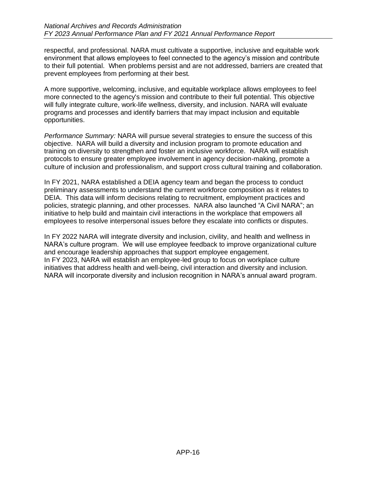respectful, and professional. NARA must cultivate a supportive, inclusive and equitable work environment that allows employees to feel connected to the agency's mission and contribute to their full potential. When problems persist and are not addressed, barriers are created that prevent employees from performing at their best.

A more supportive, welcoming, inclusive, and equitable workplace allows employees to feel more connected to the agency's mission and contribute to their full potential. This objective will fully integrate culture, work-life wellness, diversity, and inclusion. NARA will evaluate programs and processes and identify barriers that may impact inclusion and equitable opportunities.

*Performance Summary:* NARA will pursue several strategies to ensure the success of this objective. NARA will build a diversity and inclusion program to promote education and training on diversity to strengthen and foster an inclusive workforce. NARA will establish protocols to ensure greater employee involvement in agency decision-making, promote a culture of inclusion and professionalism, and support cross cultural training and collaboration.

In FY 2021, NARA established a DEIA agency team and began the process to conduct preliminary assessments to understand the current workforce composition as it relates to DEIA. This data will inform decisions relating to recruitment, employment practices and policies, strategic planning, and other processes. NARA also launched "A Civil NARA"; an initiative to help build and maintain civil interactions in the workplace that empowers all employees to resolve interpersonal issues before they escalate into conflicts or disputes.

In FY 2022 NARA will integrate diversity and inclusion, civility, and health and wellness in NARA's culture program. We will use employee feedback to improve organizational culture and encourage leadership approaches that support employee engagement. In FY 2023, NARA will establish an employee-led group to focus on workplace culture initiatives that address health and well-being, civil interaction and diversity and inclusion. NARA will incorporate diversity and inclusion recognition in NARA's annual award program.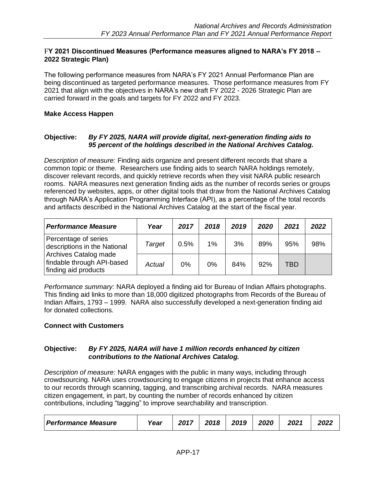### F**Y 2021 Discontinued Measures (Performance measures aligned to NARA's FY 2018 – 2022 Strategic Plan)**

The following performance measures from NARA's FY 2021 Annual Performance Plan are being discontinued as targeted performance measures. Those performance measures from FY 2021 that align with the objectives in NARA's new draft FY 2022 - 2026 Strategic Plan are carried forward in the goals and targets for FY 2022 and FY 2023.

### **Make Access Happen**

### **Objective:** *By FY 2025, NARA will provide digital, next-generation finding aids to 95 percent of the holdings described in the National Archives Catalog.*

*Description of measure:* Finding aids organize and present different records that share a common topic or theme. Researchers use finding aids to search NARA holdings remotely, discover relevant records, and quickly retrieve records when they visit NARA public research rooms. NARA measures next generation finding aids as the number of records series or groups referenced by websites, apps, or other digital tools that draw from the National Archives Catalog through NARA's Application Programming Interface (API), as a percentage of the total records and artifacts described in the National Archives Catalog at the start of the fiscal year.

| <b>Performance Measure</b>                                                  | Year   | 2017 | 2018 | 2019 | 2020 | 2021 | 2022 |
|-----------------------------------------------------------------------------|--------|------|------|------|------|------|------|
| Percentage of series<br>descriptions in the National                        | Target | 0.5% | 1%   | 3%   | 89%  | 95%  | 98%  |
| Archives Catalog made<br>findable through API-based<br>finding aid products | Actual | 0%   | 0%   | 84%  | 92%  | TBD  |      |

*Performance summary:* NARA deployed a finding aid for Bureau of Indian Affairs photographs. This finding aid links to more than 18,000 digitized photographs from Records of the Bureau of Indian Affairs, 1793 – 1999. NARA also successfully developed a next-generation finding aid for donated collections.

### **Connect with Customers**

### **Objective:** *By FY 2025, NARA will have 1 million records enhanced by citizen contributions to the National Archives Catalog.*

*Description of measure:* NARA engages with the public in many ways, including through crowdsourcing. NARA uses crowdsourcing to engage citizens in projects that enhance access to our records through scanning, tagging, and transcribing archival records. NARA measures citizen engagement, in part, by counting the number of records enhanced by citizen contributions, including "tagging" to improve searchability and transcription.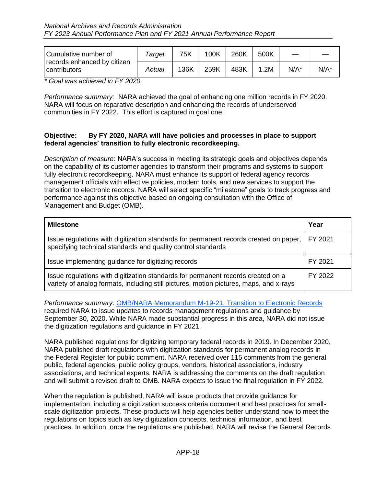| Cumulative number of<br>records enhanced by citizen | Taraet | 75K  | 100K | 260K | 500K |         |         |
|-----------------------------------------------------|--------|------|------|------|------|---------|---------|
| contributors                                        | Actual | 136K | 259K | 483K | .2M  | $N/A^*$ | $N/A^*$ |

*\* Goal was achieved in FY 2020.* 

*Performance summary:* NARA achieved the goal of enhancing one million records in FY 2020. NARA will focus on reparative description and enhancing the records of underserved communities in FY 2022. This effort is captured in goal one.

### **Objective: By FY 2020, NARA will have policies and processes in place to support federal agencies' transition to fully electronic recordkeeping.**

*Description of measure*: NARA's success in meeting its strategic goals and objectives depends on the capability of its customer agencies to transform their programs and systems to support fully electronic recordkeeping. NARA must enhance its support of federal agency records management officials with effective policies, modern tools, and new services to support the transition to electronic records. NARA will select specific "milestone" goals to track progress and performance against this objective based on ongoing consultation with the Office of Management and Budget (OMB).

| <b>Milestone</b>                                                                                                                                                           | Year      |
|----------------------------------------------------------------------------------------------------------------------------------------------------------------------------|-----------|
| Issue regulations with digitization standards for permanent records created on paper,<br>specifying technical standards and quality control standards                      | I FY 2021 |
| Issue implementing guidance for digitizing records                                                                                                                         | FY 2021   |
| Issue regulations with digitization standards for permanent records created on a<br>variety of analog formats, including still pictures, motion pictures, maps, and x-rays | FY 2022   |

*Performance summary*: [OMB/NARA Memorandum M-19-21, Transition to Electronic Records](https://www.archives.gov/files/records-mgmt/policy/m-19-21-transition-to-federal-records.pdf) required NARA to issue updates to records management regulations and guidance by September 30, 2020. While NARA made substantial progress in this area, NARA did not issue the digitization regulations and guidance in FY 2021.

NARA published regulations for digitizing temporary federal records in 2019. In December 2020, NARA published draft regulations with digitization standards for permanent analog records in the Federal Register for public comment. NARA received over 115 comments from the general public, federal agencies, public policy groups, vendors, historical associations, industry associations, and technical experts. NARA is addressing the comments on the draft regulation and will submit a revised draft to OMB. NARA expects to issue the final regulation in FY 2022.

When the regulation is published, NARA will issue products that provide guidance for implementation, including a digitization success criteria document and best practices for smallscale digitization projects. These products will help agencies better understand how to meet the regulations on topics such as key digitization concepts, technical information, and best practices. In addition, once the regulations are published, NARA will revise the General Records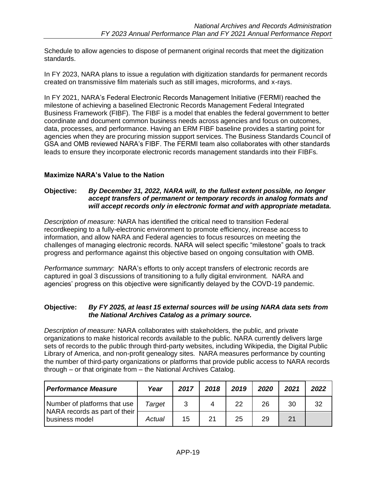Schedule to allow agencies to dispose of permanent original records that meet the digitization standards.

In FY 2023, NARA plans to issue a regulation with digitization standards for permanent records created on transmissive film materials such as still images, microforms, and x-rays.

In FY 2021, NARA's Federal Electronic Records Management Initiative (FERMI) reached the milestone of achieving a baselined Electronic Records Management Federal Integrated Business Framework (FIBF). The FIBF is a model that enables the federal government to better coordinate and document common business needs across agencies and focus on outcomes, data, processes, and performance. Having an ERM FIBF baseline provides a starting point for agencies when they are procuring mission support services. The Business Standards Council of GSA and OMB reviewed NARA's FIBF. The FERMI team also collaborates with other standards leads to ensure they incorporate electronic records management standards into their FIBFs.

# **Maximize NARA's Value to the Nation**

#### **Objective:** *By December 31, 2022, NARA will, to the fullest extent possible, no longer accept transfers of permanent or temporary records in analog formats and will accept records only in electronic format and with appropriate metadata.*

*Description of measure:* NARA has identified the critical need to transition Federal recordkeeping to a fully-electronic environment to promote efficiency, increase access to information, and allow NARA and Federal agencies to focus resources on meeting the challenges of managing electronic records. NARA will select specific "milestone" goals to track progress and performance against this objective based on ongoing consultation with OMB.

*Performance summary:* NARA's efforts to only accept transfers of electronic records are captured in goal 3 discussions of transitioning to a fully digital environment. NARA and agencies' progress on this objective were significantly delayed by the COVD-19 pandemic.

### **Objective:** *By FY 2025, at least 15 external sources will be using NARA data sets from the National Archives Catalog as a primary source.*

*Description of measure:* NARA collaborates with stakeholders, the public, and private organizations to make historical records available to the public. NARA currently delivers large sets of records to the public through third-party websites, including Wikipedia, the Digital Public Library of America, and non-profit genealogy sites. NARA measures performance by counting the number of third-party organizations or platforms that provide public access to NARA records through – or that originate from – the National Archives Catalog.

| <b>Performance Measure</b>                                    | Year   | 2017 | 2018 | 2019 | 2020 | 2021 | 2022 |
|---------------------------------------------------------------|--------|------|------|------|------|------|------|
| Number of platforms that use<br>NARA records as part of their | Target |      | 4    | 22   | 26   | 30   | 32   |
| business model                                                | Actual | 15   | 21   | 25   | 29   | 21   |      |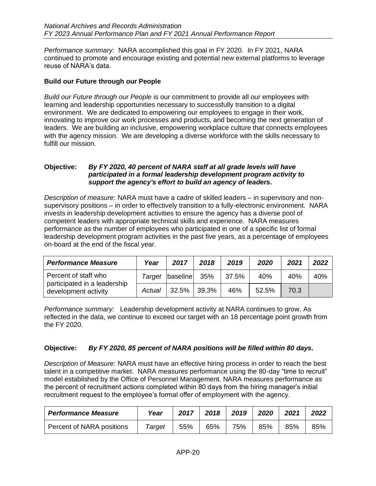*Performance summary:* NARA accomplished this goal in FY 2020. In FY 2021, NARA continued to promote and encourage existing and potential new external platforms to leverage reuse of NARA's data.

### **Build our Future through our People**

*Build our Future through our People* is our commitment to provide all our employees with learning and leadership opportunities necessary to successfully transition to a digital environment. We are dedicated to empowering our employees to engage in their work, innovating to improve our work processes and products, and becoming the next generation of leaders. We are building an inclusive, empowering workplace culture that connects employees with the agency mission. We are developing a diverse workforce with the skills necessary to fulfill our mission.

### **Objective:** *By FY 2020, 40 percent of NARA staff at all grade levels will have participated in a formal leadership development program activity to support the agency's effort to build an agency of leaders.*

*Description of measure:* NARA must have a cadre of skilled leaders – in supervisory and nonsupervisory positions – in order to effectively transition to a fully-electronic environment. NARA invests in leadership development activities to ensure the agency has a diverse pool of competent leaders with appropriate technical skills and experience. NARA measures performance as the number of employees who participated in one of a specific list of formal leadership development program activities in the past five years, as a percentage of employees on-board at the end of the fiscal year.

| <b>Performance Measure</b>                           | Year   | 2017     | 2018  | 2019  | 2020  | 2021 | 2022 |
|------------------------------------------------------|--------|----------|-------|-------|-------|------|------|
| Percent of staff who                                 | Target | baseline | - 35% | 37.5% | 40%   | 40%  | 40%  |
| participated in a leadership<br>development activity | Actual | 32.5%    | 39.3% | 46%   | 52.5% | 70.3 |      |

*Performance summary:* Leadership development activity at NARA continues to grow. As reflected in the data, we continue to exceed our target with an 18 percentage point growth from the FY 2020.

### **Objective:** *By FY 2020, 85 percent of NARA positions will be filled within 80 days.*

*Description of Measure:* NARA must have an effective hiring process in order to reach the best talent in a competitive market. NARA measures performance using the 80-day "time to recruit" model established by the Office of Personnel Management. NARA measures performance as the percent of recruitment actions completed within 80 days from the hiring manager's initial recruitment request to the employee's formal offer of employment with the agency.

| <b>Performance Measure</b> | Year   | 2017 | 2018 | 2019 | 2020 | 2021 | 2022 |
|----------------------------|--------|------|------|------|------|------|------|
| Percent of NARA positions  | Target | 55%  | 65%  | 75%  | 85%  | 85%  | 85%  |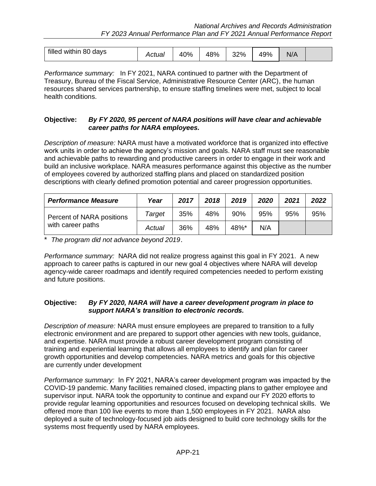| within 80 days<br>filled | .ctual | 0%<br>40 | 18%<br>40 | 32%<br>-SZ | 49% | $N/\rho$ |  |
|--------------------------|--------|----------|-----------|------------|-----|----------|--|
|--------------------------|--------|----------|-----------|------------|-----|----------|--|

*Performance summary:* In FY 2021, NARA continued to partner with the Department of Treasury, Bureau of the Fiscal Service, Administrative Resource Center (ARC), the human resources shared services partnership, to ensure staffing timelines were met, subject to local health conditions.

### **Objective:** *By FY 2020, 95 percent of NARA positions will have clear and achievable career paths for NARA employees.*

*Description of measure:* NARA must have a motivated workforce that is organized into effective work units in order to achieve the agency's mission and goals. NARA staff must see reasonable and achievable paths to rewarding and productive careers in order to engage in their work and build an inclusive workplace. NARA measures performance against this objective as the number of employees covered by authorized staffing plans and placed on standardized position descriptions with clearly defined promotion potential and career progression opportunities.

| <b>Performance Measure</b>                     | Year   | 2017 | 2018 | 2019 | 2020 | 2021 | 2022 |
|------------------------------------------------|--------|------|------|------|------|------|------|
| Percent of NARA positions<br>with career paths | Target | 35%  | 48%  | 90%  | 95%  | 95%  | 95%  |
|                                                | Actual | 36%  | 48%  | 48%* | N/A  |      |      |

\* *The program did not advance beyond 2019*.

*Performance summary:* NARA did not realize progress against this goal in FY 2021. A new approach to career paths is captured in our new goal 4 objectives where NARA will develop agency-wide career roadmaps and identify required competencies needed to perform existing and future positions.

### **Objective:** *By FY 2020, NARA will have a career development program in place to support NARA's transition to electronic records.*

*Description of measure:* NARA must ensure employees are prepared to transition to a fully electronic environment and are prepared to support other agencies with new tools, guidance, and expertise. NARA must provide a robust career development program consisting of training and experiential learning that allows all employees to identify and plan for career growth opportunities and develop competencies. NARA metrics and goals for this objective are currently under development

*Performance summary:* In FY 2021, NARA's career development program was impacted by the COVID-19 pandemic. Many facilities remained closed, impacting plans to gather employee and supervisor input. NARA took the opportunity to continue and expand our FY 2020 efforts to provide regular learning opportunities and resources focused on developing technical skills. We offered more than 100 live events to more than 1,500 employees in FY 2021. NARA also deployed a suite of technology-focused job aids designed to build core technology skills for the systems most frequently used by NARA employees.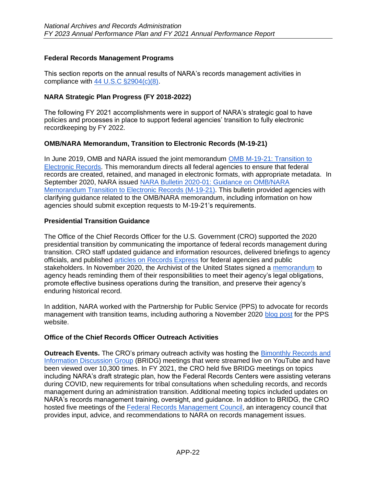### <span id="page-21-0"></span>**Federal Records Management Programs**

This section reports on the annual results of NARA's records management activities in compliance with [44 U.S.C §2904\(c\)\(8\).](https://www.archives.gov/about/laws/records-management.html#2904)

### **NARA Strategic Plan Progress (FY 2018-2022)**

The following FY 2021 accomplishments were in support of NARA's strategic goal to have policies and processes in place to support federal agencies' transition to fully electronic recordkeeping by FY 2022.

### **OMB/NARA Memorandum, Transition to Electronic Records (M-19-21)**

In June 2019, OMB and NARA issued the joint memorandum [OMB M-19-21: Transition to](https://www.archives.gov/files/records-mgmt/policy/m-19-21-transition-to-federal-records.pdf)  [Electronic Records.](https://www.archives.gov/files/records-mgmt/policy/m-19-21-transition-to-federal-records.pdf) This memorandum directs all federal agencies to ensure that federal records are created, retained, and managed in electronic formats, with appropriate metadata. In September 2020, NARA issued [NARA Bulletin 2020-01: Guidance on OMB/NARA](https://www.archives.gov/records-mgmt/bulletins/2020/2020-01)  [Memorandum Transition to Electronic Records \(M-19-21\).](https://www.archives.gov/records-mgmt/bulletins/2020/2020-01) This bulletin provided agencies with clarifying guidance related to the OMB/NARA memorandum, including information on how agencies should submit exception requests to M-19-21's requirements.

### **Presidential Transition Guidance**

The Office of the Chief Records Officer for the U.S. Government (CRO) supported the 2020 presidential transition by communicating the importance of federal records management during transition. CRO staff updated guidance and information resources, delivered briefings to agency officials, and published [articles on Records Express](https://records-express.blogs.archives.gov/tag/presidential-transition/) for federal agencies and public stakeholders. In November 2020, the Archivist of the United States signed a [memorandum](https://www.archives.gov/files/records-mgmt/memos/transition-letter-to-agency-heads-from-archivist-11242020-final.pdf) to agency heads reminding them of their responsibilities to meet their agency's legal obligations, promote effective business operations during the transition, and preserve their agency's enduring historical record.

In addition, NARA worked with the Partnership for Public Service (PPS) to advocate for records management with transition teams, including authoring a November 2020 [blog post](https://presidentialtransition.org/blog/federal-records-management-presidential-transitions/) for the PPS website.

### **Office of the Chief Records Officer Outreach Activities**

**Outreach Events.** The CRO's primary outreach activity was hosting the [Bimonthly Records and](https://www.archives.gov/records-mgmt/meetings/index.html#bridg)  [Information Discussion Group](https://www.archives.gov/records-mgmt/meetings/index.html#bridg) (BRIDG) meetings that were streamed live on YouTube and have been viewed over 10,300 times. In FY 2021, the CRO held five BRIDG meetings on topics including NARA's draft strategic plan, how the Federal Records Centers were assisting veterans during COVID, new requirements for tribal consultations when scheduling records, and records management during an administration transition. Additional meeting topics included updates on NARA's records management training, oversight, and guidance. In addition to BRIDG, the CRO hosted five meetings of the [Federal Records Management Council,](https://www.archives.gov/records-mgmt/policy/frmc) an interagency council that provides input, advice, and recommendations to NARA on records management issues.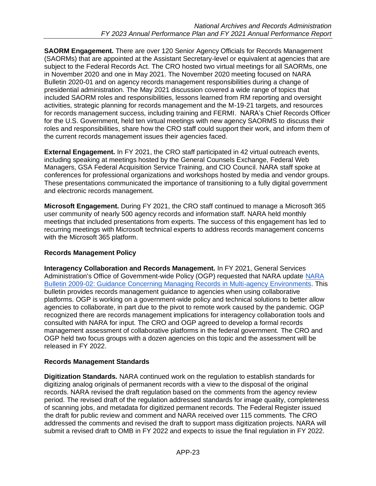**SAORM Engagement.** There are over 120 Senior Agency Officials for Records Management (SAORMs) that are appointed at the Assistant Secretary-level or equivalent at agencies that are subject to the Federal Records Act. The CRO hosted two virtual meetings for all SAORMs, one in November 2020 and one in May 2021. The November 2020 meeting focused on NARA Bulletin 2020-01 and on agency records management responsibilities during a change of presidential administration. The May 2021 discussion covered a wide range of topics that included SAORM roles and responsibilities, lessons learned from RM reporting and oversight activities, strategic planning for records management and the M-19-21 targets, and resources for records management success, including training and FERMI. NARA's Chief Records Officer for the U.S. Government, held ten virtual meetings with new agency SAORMS to discuss their roles and responsibilities, share how the CRO staff could support their work, and inform them of the current records management issues their agencies faced.

**External Engagement.** In FY 2021, the CRO staff participated in 42 virtual outreach events, including speaking at meetings hosted by the General Counsels Exchange, Federal Web Managers, GSA Federal Acquisition Service Training, and CIO Council. NARA staff spoke at conferences for professional organizations and workshops hosted by media and vendor groups. These presentations communicated the importance of transitioning to a fully digital government and electronic records management.

**Microsoft Engagement.** During FY 2021, the CRO staff continued to manage a Microsoft 365 user community of nearly 500 agency records and information staff. NARA held monthly meetings that included presentations from experts. The success of this engagement has led to recurring meetings with Microsoft technical experts to address records management concerns with the Microsoft 365 platform.

# **Records Management Policy**

**Interagency Collaboration and Records Management.** In FY 2021, General Services Administration's Office of Government-wide Policy (OGP) requested that [NARA](https://www.archives.gov/records-mgmt/bulletins/2009/2009-02.html) update NARA [Bulletin 2009-02: Guidance Concerning Managing Records in Multi-agency Environments.](https://www.archives.gov/records-mgmt/bulletins/2009/2009-02.html) This bulletin provides records management guidance to agencies when using collaborative platforms. OGP is working on a government-wide policy and technical solutions to better allow agencies to collaborate, in part due to the pivot to remote work caused by the pandemic. OGP recognized there are records management implications for interagency collaboration tools and consulted with NARA for input. The CRO and OGP agreed to develop a formal records management assessment of collaborative platforms in the federal government. The CRO and OGP held two focus groups with a dozen agencies on this topic and the assessment will be released in FY 2022.

# **Records Management Standards**

**Digitization Standards.** NARA continued work on the regulation to establish standards for digitizing analog originals of permanent records with a view to the disposal of the original records. NARA revised the draft regulation based on the comments from the agency review period. The revised draft of the regulation addressed standards for image quality, completeness of scanning jobs, and metadata for digitized permanent records. The Federal Register issued the draft for public review and comment and NARA received over 115 comments. The CRO addressed the comments and revised the draft to support mass digitization projects. NARA will submit a revised draft to OMB in FY 2022 and expects to issue the final regulation in FY 2022.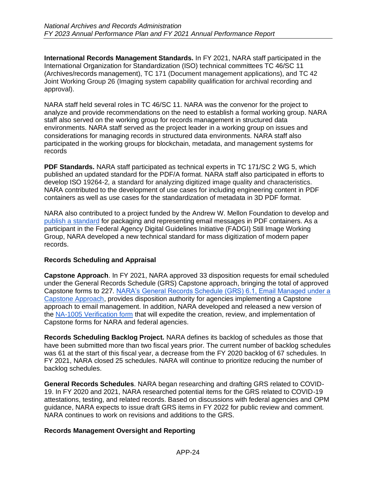**International Records Management Standards.** In FY 2021, NARA staff participated in the International Organization for Standardization (ISO) technical committees TC 46/SC 11 (Archives/records management), TC 171 (Document management applications), and TC 42 Joint Working Group 26 (Imaging system capability qualification for archival recording and approval).

NARA staff held several roles in TC 46/SC 11. NARA was the convenor for the project to analyze and provide recommendations on the need to establish a formal working group. NARA staff also served on the working group for records management in structured data environments. NARA staff served as the project leader in a working group on issues and considerations for managing records in structured data environments. NARA staff also participated in the working groups for blockchain, metadata, and management systems for records

**PDF Standards.** NARA staff participated as technical experts in TC 171/SC 2 WG 5, which published an updated standard for the PDF/A format. NARA staff also participated in efforts to develop ISO 19264-2*,* a standard for analyzing digitized image quality and characteristics. NARA contributed to the development of use cases for including engineering content in PDF containers as well as use cases for the standardization of metadata in 3D PDF format.

NARA also contributed to a project funded by the Andrew W. Mellon Foundation to develop and [publish a standard](https://records-express.blogs.archives.gov/2021/07/23/email-in-pdf-pushing-the-email-envelope/) for packaging and representing email messages in PDF containers. As a participant in the Federal Agency Digital Guidelines Initiative (FADGI) Still Image Working Group, NARA developed a new technical standard for mass digitization of modern paper records.

### **Records Scheduling and Appraisal**

**Capstone Approach**. In FY 2021, NARA approved 33 disposition requests for email scheduled under the General Records Schedule (GRS) Capstone approach, bringing the total of approved Capstone forms to 227. [NARA's General Records Schedule \(GRS\) 6.1, Email Managed under a](https://www.archives.gov/files/records-mgmt/grs/grs06-1.pdf)  [Capstone Approach,](https://www.archives.gov/files/records-mgmt/grs/grs06-1.pdf) provides disposition authority for agencies implementing a Capstone approach to email management. In addition, NARA developed and released a new version of the [NA-1005 Verification form](https://www.archives.gov/records-mgmt/memos/ac-32-2021) that will expedite the creation, review, and implementation of Capstone forms for NARA and federal agencies.

**Records Scheduling Backlog Project.** NARA defines its backlog of schedules as those that have been submitted more than two fiscal years prior. The current number of backlog schedules was 61 at the start of this fiscal year, a decrease from the FY 2020 backlog of 67 schedules. In FY 2021, NARA closed 25 schedules. NARA will continue to prioritize reducing the number of backlog schedules.

**General Records Schedules**. NARA began researching and drafting GRS related to COVID-19. In FY 2020 and 2021, NARA researched potential items for the GRS related to COVID-19 attestations, testing, and related records. Based on discussions with federal agencies and OPM guidance, NARA expects to issue draft GRS items in FY 2022 for public review and comment. NARA continues to work on revisions and additions to the GRS.

### **Records Management Oversight and Reporting**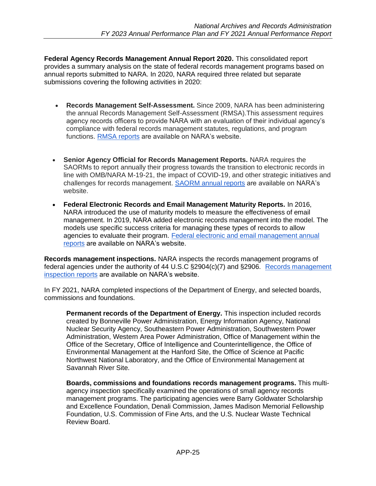**Federal Agency Records Management Annual Report 2020.** This consolidated report provides a summary analysis on the state of federal records management programs based on annual reports submitted to NARA. In 2020, NARA required three related but separate submissions covering the following activities in 2020:

- **Records Management Self-Assessment.** Since 2009, NARA has been administering the annual Records Management Self-Assessment (RMSA).This assessment requires agency records officers to provide NARA with an evaluation of their individual agency's compliance with federal records management statutes, regulations, and program functions. [RMSA reports](https://www.archives.gov/records-mgmt/resources/self-assessment.html) are available on NARA's website.
- **Senior Agency Official for Records Management Reports.** NARA requires the SAORMs to report annually their progress towards the transition to electronic records in line with OMB/NARA M-19-21, the impact of COVID-19, and other strategic initiatives and challenges for records management. [SAORM annual reports](https://www.archives.gov/records-mgmt/resources/saorm-reports) are available on NARA's website.
- **Federal Electronic Records and Email Management Maturity Reports.** In 2016, NARA introduced the use of maturity models to measure the effectiveness of email management. In 2019, NARA added electronic records management into the model. The models use specific success criteria for managing these types of records to allow agencies to evaluate their program. [Federal electronic and email management annual](https://www.archives.gov/records-mgmt/resources/email-mgmt-reports)  [reports](https://www.archives.gov/records-mgmt/resources/email-mgmt-reports) are available on NARA's website.

**Records management inspections.** NARA inspects the records management programs of federal agencies under the authority of 44 U.S.C §2904(c)(7) and §2906. [Records management](https://www.archives.gov/records-mgmt/resources/rm-inspections)  [inspection reports](https://www.archives.gov/records-mgmt/resources/rm-inspections) are available on NARA's website.

In FY 2021, NARA completed inspections of the Department of Energy, and selected boards, commissions and foundations.

**Permanent records of the Department of Energy.** This inspection included records created by Bonneville Power Administration, Energy Information Agency, National Nuclear Security Agency, Southeastern Power Administration, Southwestern Power Administration, Western Area Power Administration, Office of Management within the Office of the Secretary, Office of Intelligence and Counterintelligence, the Office of Environmental Management at the Hanford Site, the Office of Science at Pacific Northwest National Laboratory, and the Office of Environmental Management at Savannah River Site.

**Boards, commissions and foundations records management programs.** This multiagency inspection specifically examined the operations of small agency records management programs. The participating agencies were Barry Goldwater Scholarship and Excellence Foundation, Denali Commission, James Madison Memorial Fellowship Foundation, U.S. Commission of Fine Arts, and the U.S. Nuclear Waste Technical Review Board.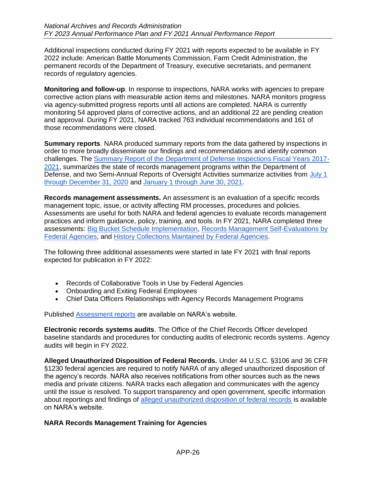Additional inspections conducted during FY 2021 with reports expected to be available in FY 2022 include: American Battle Monuments Commission, Farm Credit Administration, the permanent records of the Department of Treasury, executive secretariats, and permanent records of regulatory agencies.

**Monitoring and follow-up**. In response to inspections, NARA works with agencies to prepare corrective action plans with measurable action items and milestones. NARA monitors progress via agency-submitted progress reports until all actions are completed. NARA is currently monitoring 54 approved plans of corrective actions, and an additional 22 are pending creation and approval. During FY 2021, NARA tracked 763 individual recommendations and 161 of those recommendations were closed.

**Summary reports**. NARA produced summary reports from the data gathered by inspections in order to more broadly disseminate our findings and recommendations and identify common challenges. The [Summary Report of the Department of Defense Inspections Fiscal Years 2017-](https://www.archives.gov/files/records-mgmt/resources/dod-inspection-series-summary-report.pdf) [2021,](https://www.archives.gov/files/records-mgmt/resources/dod-inspection-series-summary-report.pdf) summarizes the state of records management programs within the Department of Defense, and two Semi-Annual Reports of Oversight Activities summarize activities from [July 1](https://www.archives.gov/files/records-mgmt/resources/semi-annual-oversight-report-7-1-2020-12-31-2020.pdf)  [through December 31, 2020](https://www.archives.gov/files/records-mgmt/resources/semi-annual-oversight-report-7-1-2020-12-31-2020.pdf) and [January 1 through June 30, 2021.](https://www.archives.gov/files/records-mgmt/resources/semi-annual-rm-oversight-report-jan-june-2021-final-508c.pdf)

**Records management assessments.** An assessment is an evaluation of a specific records management topic, issue, or activity affecting RM processes, procedures and policies. Assessments are useful for both NARA and federal agencies to evaluate records management practices and inform guidance, policy, training, and tools. In FY 2021, NARA completed three assessments: [Big Bucket Schedule Implementation,](https://www.archives.gov/files/records-mgmt/resources/big-bucket-schedule-implementation-report.pdf) [Records Management Self-Evaluations by](https://www.archives.gov/files/records-mgmt/resources/agency-self-evaluations-report.pdf)  [Federal Agencies,](https://www.archives.gov/files/records-mgmt/resources/agency-self-evaluations-report.pdf) and [History Collections Maintained by Federal Agencies.](https://www.archives.gov/files/records-mgmt/resources/history-collections-federal-agencies-assessment-report-ks-edit-2.pdf)

The following three additional assessments were started in late FY 2021 with final reports expected for publication in FY 2022:

- Records of Collaborative Tools in Use by Federal Agencies
- Onboarding and Exiting Federal Employees
- Chief Data Officers Relationships with Agency Records Management Programs

Published [Assessment reports](https://www.archives.gov/records-mgmt/resources/rm-assessments) are available on NARA's website.

**Electronic records systems audits**. The Office of the Chief Records Officer developed baseline standards and procedures for conducting audits of electronic records systems. Agency audits will begin in FY 2022.

**Alleged Unauthorized Disposition of Federal Records.** Under 44 U.S.C. §3106 and 36 CFR §1230 federal agencies are required to notify NARA of any alleged unauthorized disposition of the agency's records. NARA also receives notifications from other sources such as the news media and private citizens. NARA tracks each allegation and communicates with the agency until the issue is resolved. To support transparency and open government, specific information about reportings and findings of [alleged unauthorized disposition of federal records](https://www.archives.gov/records-mgmt/resources/unauthorizeddispositionoffederalrecords) is available on NARA's website.

# **NARA Records Management Training for Agencies**